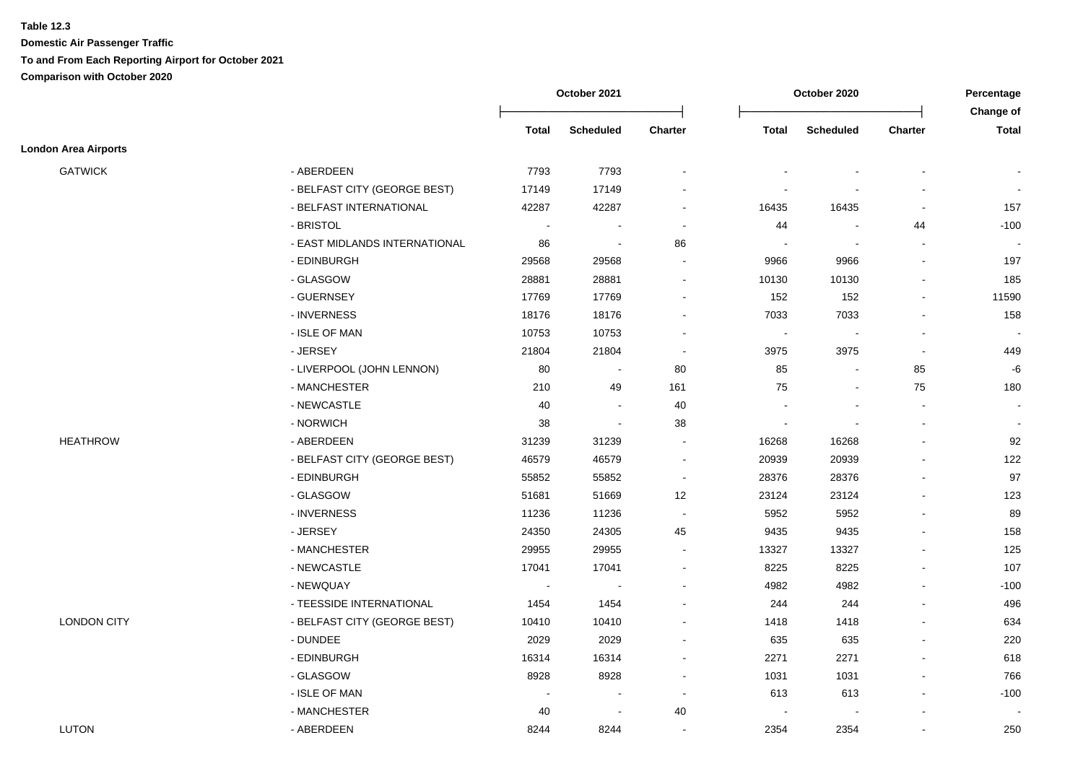|                             |                               |                | October 2021             |                |                | October 2020             |                | Percentage<br>Change of  |
|-----------------------------|-------------------------------|----------------|--------------------------|----------------|----------------|--------------------------|----------------|--------------------------|
|                             |                               | Total          | <b>Scheduled</b>         | Charter        | Total          | <b>Scheduled</b>         | Charter        | <b>Total</b>             |
| <b>London Area Airports</b> |                               |                |                          |                |                |                          |                |                          |
| <b>GATWICK</b>              | - ABERDEEN                    | 7793           | 7793                     |                |                |                          |                |                          |
|                             | - BELFAST CITY (GEORGE BEST)  | 17149          | 17149                    |                |                |                          |                |                          |
|                             | - BELFAST INTERNATIONAL       | 42287          | 42287                    | $\sim$         | 16435          | 16435                    |                | 157                      |
|                             | - BRISTOL                     | $\sim$         | $\overline{a}$           | $\blacksquare$ | 44             |                          | 44             | $-100$                   |
|                             | - EAST MIDLANDS INTERNATIONAL | 86             | $\sim$                   | 86             | $\blacksquare$ | $\overline{\phantom{a}}$ |                |                          |
|                             | - EDINBURGH                   | 29568          | 29568                    | $\sim$         | 9966           | 9966                     |                | 197                      |
|                             | - GLASGOW                     | 28881          | 28881                    | $\blacksquare$ | 10130          | 10130                    |                | 185                      |
|                             | - GUERNSEY                    | 17769          | 17769                    | $\blacksquare$ | 152            | 152                      | $\sim$         | 11590                    |
|                             | - INVERNESS                   | 18176          | 18176                    | $\sim$         | 7033           | 7033                     |                | 158                      |
|                             | - ISLE OF MAN                 | 10753          | 10753                    | $\sim$         | $\blacksquare$ |                          |                | $\overline{\phantom{a}}$ |
|                             | - JERSEY                      | 21804          | 21804                    | $\overline{a}$ | 3975           | 3975                     |                | 449                      |
|                             | - LIVERPOOL (JOHN LENNON)     | 80             | $\sim$                   | 80             | 85             | $\blacksquare$           | 85             | $-6$                     |
|                             | - MANCHESTER                  | 210            | 49                       | 161            | 75             | $\blacksquare$           | 75             | 180                      |
|                             | - NEWCASTLE                   | 40             | $\blacksquare$           | 40             | $\blacksquare$ |                          |                | $\sim$                   |
|                             | - NORWICH                     | 38             | $\overline{\phantom{a}}$ | 38             | $\blacksquare$ |                          |                | $\sim$                   |
| <b>HEATHROW</b>             | - ABERDEEN                    | 31239          | 31239                    | $\blacksquare$ | 16268          | 16268                    |                | 92                       |
|                             | - BELFAST CITY (GEORGE BEST)  | 46579          | 46579                    | $\blacksquare$ | 20939          | 20939                    |                | 122                      |
|                             | - EDINBURGH                   | 55852          | 55852                    | $\blacksquare$ | 28376          | 28376                    |                | 97                       |
|                             | - GLASGOW                     | 51681          | 51669                    | 12             | 23124          | 23124                    |                | 123                      |
|                             | - INVERNESS                   | 11236          | 11236                    | $\blacksquare$ | 5952           | 5952                     |                | 89                       |
|                             | - JERSEY                      | 24350          | 24305                    | 45             | 9435           | 9435                     |                | 158                      |
|                             | - MANCHESTER                  | 29955          | 29955                    | $\blacksquare$ | 13327          | 13327                    |                | 125                      |
|                             | - NEWCASTLE                   | 17041          | 17041                    |                | 8225           | 8225                     |                | 107                      |
|                             | - NEWQUAY                     | $\sim$         |                          |                | 4982           | 4982                     |                | $-100$                   |
|                             | - TEESSIDE INTERNATIONAL      | 1454           | 1454                     |                | 244            | 244                      |                | 496                      |
| <b>LONDON CITY</b>          | - BELFAST CITY (GEORGE BEST)  | 10410          | 10410                    | $\sim$         | 1418           | 1418                     |                | 634                      |
|                             | - DUNDEE                      | 2029           | 2029                     | $\blacksquare$ | 635            | 635                      |                | 220                      |
|                             | - EDINBURGH                   | 16314          | 16314                    | $\blacksquare$ | 2271           | 2271                     |                | 618                      |
|                             | - GLASGOW                     | 8928           | 8928                     | $\blacksquare$ | 1031           | 1031                     |                | 766                      |
|                             | - ISLE OF MAN                 | $\blacksquare$ | $\blacksquare$           | $\blacksquare$ | 613            | 613                      | $\blacksquare$ | $-100$                   |
|                             | - MANCHESTER                  | 40             | $\blacksquare$           | 40             | $\sim$         |                          |                |                          |
| <b>LUTON</b>                | - ABERDEEN                    | 8244           | 8244                     | $\sim$         | 2354           | 2354                     |                | 250                      |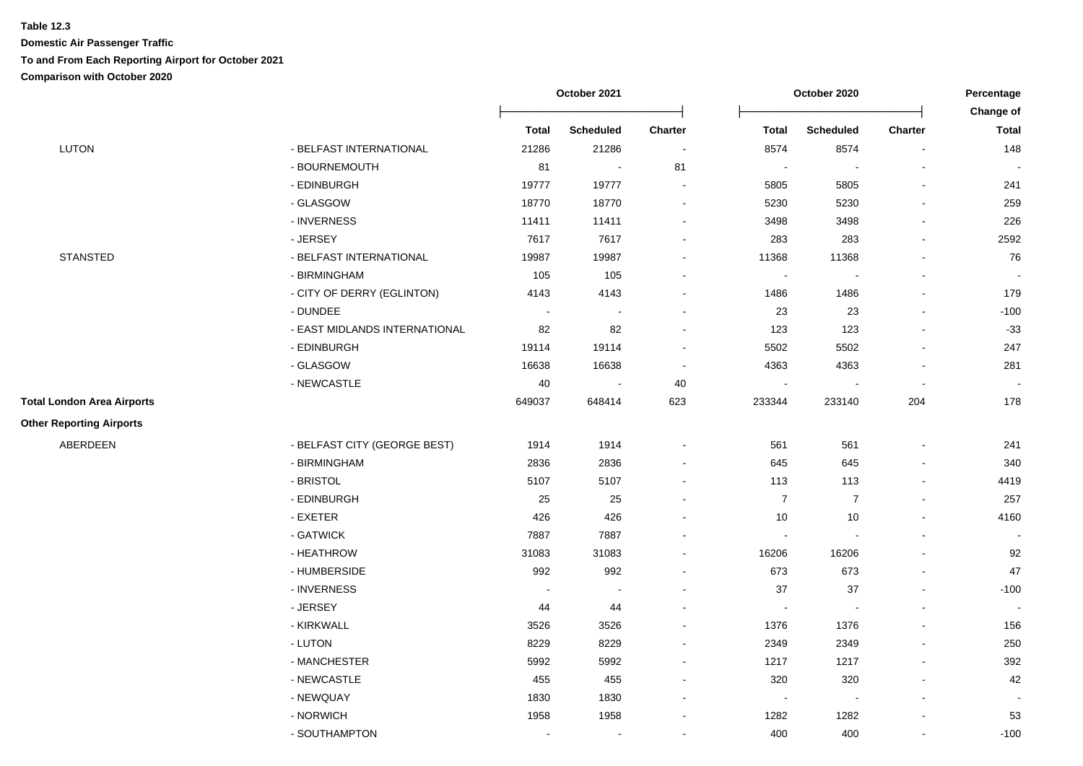|                                   |                               | October 2021 |                  |                          | October 2020   |                          |         | Percentage                |
|-----------------------------------|-------------------------------|--------------|------------------|--------------------------|----------------|--------------------------|---------|---------------------------|
|                                   |                               | <b>Total</b> | <b>Scheduled</b> | Charter                  | Total          | <b>Scheduled</b>         | Charter | Change of<br><b>Total</b> |
| <b>LUTON</b>                      | - BELFAST INTERNATIONAL       | 21286        | 21286            | $\sim$                   | 8574           | 8574                     |         | 148                       |
|                                   | - BOURNEMOUTH                 | 81           | $\blacksquare$   | 81                       | $\blacksquare$ | $\overline{\phantom{a}}$ |         |                           |
|                                   | - EDINBURGH                   | 19777        | 19777            | $\sim$                   | 5805           | 5805                     |         | 241                       |
|                                   | - GLASGOW                     | 18770        | 18770            | $\blacksquare$           | 5230           | 5230                     |         | 259                       |
|                                   | - INVERNESS                   | 11411        | 11411            | $\overline{a}$           | 3498           | 3498                     |         | 226                       |
|                                   | - JERSEY                      | 7617         | 7617             | $\overline{a}$           | 283            | 283                      |         | 2592                      |
| <b>STANSTED</b>                   | - BELFAST INTERNATIONAL       | 19987        | 19987            |                          | 11368          | 11368                    |         | 76                        |
|                                   | - BIRMINGHAM                  | 105          | 105              | $\blacksquare$           | $\blacksquare$ |                          |         |                           |
|                                   | - CITY OF DERRY (EGLINTON)    | 4143         | 4143             | $\overline{a}$           | 1486           | 1486                     |         | 179                       |
|                                   | - DUNDEE                      | $\sim$       | $\sim$           | $\blacksquare$           | $23\,$         | 23                       |         | $-100$                    |
|                                   | - EAST MIDLANDS INTERNATIONAL | 82           | 82               | $\blacksquare$           | 123            | 123                      |         | $-33$                     |
|                                   | - EDINBURGH                   | 19114        | 19114            | $\blacksquare$           | 5502           | 5502                     |         | 247                       |
|                                   | - GLASGOW                     | 16638        | 16638            | $\blacksquare$           | 4363           | 4363                     |         | 281                       |
|                                   | - NEWCASTLE                   | 40           | $\sim$           | 40                       | $\sim$         | $\sim$                   |         |                           |
| <b>Total London Area Airports</b> |                               | 649037       | 648414           | 623                      | 233344         | 233140                   | 204     | 178                       |
| <b>Other Reporting Airports</b>   |                               |              |                  |                          |                |                          |         |                           |
| ABERDEEN                          | - BELFAST CITY (GEORGE BEST)  | 1914         | 1914             | $\blacksquare$           | 561            | 561                      |         | 241                       |
|                                   | - BIRMINGHAM                  | 2836         | 2836             | $\overline{\phantom{a}}$ | 645            | 645                      |         | 340                       |
|                                   | - BRISTOL                     | 5107         | 5107             | $\overline{a}$           | 113            | 113                      |         | 4419                      |
|                                   | - EDINBURGH                   | 25           | 25               | $\overline{\phantom{a}}$ | $\overline{7}$ | $\overline{7}$           |         | 257                       |
|                                   | - EXETER                      | 426          | 426              | $\blacksquare$           | $10$           | 10                       |         | 4160                      |
|                                   | - GATWICK                     | 7887         | 7887             | $\overline{\phantom{a}}$ | $\blacksquare$ |                          |         |                           |
|                                   | - HEATHROW                    | 31083        | 31083            | $\blacksquare$           | 16206          | 16206                    |         | 92                        |
|                                   | - HUMBERSIDE                  | 992          | 992              | $\ddot{\phantom{a}}$     | 673            | 673                      |         | 47                        |
|                                   | - INVERNESS                   |              |                  |                          | 37             | 37                       |         | $-100$                    |
|                                   | - JERSEY                      | 44           | 44               |                          | $\blacksquare$ |                          |         |                           |
|                                   | - KIRKWALL                    | 3526         | 3526             | $\blacksquare$           | 1376           | 1376                     |         | 156                       |
|                                   | - LUTON                       | 8229         | 8229             | $\overline{a}$           | 2349           | 2349                     |         | 250                       |
|                                   | - MANCHESTER                  | 5992         | 5992             | $\blacksquare$           | 1217           | 1217                     |         | 392                       |
|                                   | - NEWCASTLE                   | 455          | 455              | $\blacksquare$           | 320            | 320                      |         | 42                        |
|                                   | - NEWQUAY                     | 1830         | 1830             | $\overline{\phantom{a}}$ | $\blacksquare$ | $\overline{\phantom{a}}$ |         |                           |
|                                   | - NORWICH                     | 1958         | 1958             | $\blacksquare$           | 1282           | 1282                     |         | 53                        |
|                                   | - SOUTHAMPTON                 | $\sim$       | $\sim$           | $\overline{\phantom{a}}$ | 400            | 400                      |         | $-100$                    |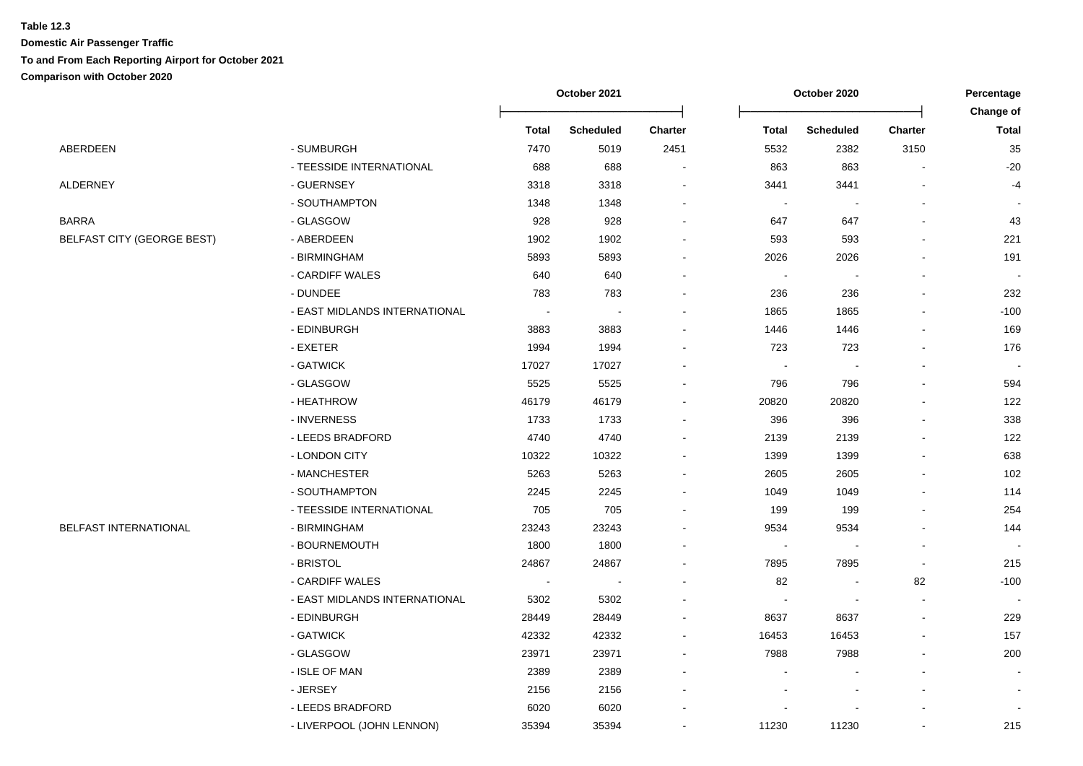|                                   |                               | October 2021   |                          |                | October 2020             |                          |                          | Percentage                |  |
|-----------------------------------|-------------------------------|----------------|--------------------------|----------------|--------------------------|--------------------------|--------------------------|---------------------------|--|
|                                   |                               | <b>Total</b>   | <b>Scheduled</b>         | <b>Charter</b> | <b>Total</b>             | <b>Scheduled</b>         | <b>Charter</b>           | Change of<br><b>Total</b> |  |
| ABERDEEN                          | - SUMBURGH                    | 7470           | 5019                     | 2451           | 5532                     | 2382                     | 3150                     | 35                        |  |
|                                   | - TEESSIDE INTERNATIONAL      | 688            | 688                      |                | 863                      | 863                      |                          | $-20$                     |  |
| ALDERNEY                          | - GUERNSEY                    | 3318           | 3318                     |                | 3441                     | 3441                     |                          | $-4$                      |  |
|                                   | - SOUTHAMPTON                 | 1348           | 1348                     |                |                          |                          |                          |                           |  |
| BARRA                             | - GLASGOW                     | 928            | 928                      |                | 647                      | 647                      |                          | 43                        |  |
| <b>BELFAST CITY (GEORGE BEST)</b> | - ABERDEEN                    | 1902           | 1902                     |                | 593                      | 593                      |                          | 221                       |  |
|                                   | - BIRMINGHAM                  | 5893           | 5893                     |                | 2026                     | 2026                     |                          | 191                       |  |
|                                   | - CARDIFF WALES               | 640            | 640                      |                | $\blacksquare$           | $\overline{\phantom{a}}$ |                          |                           |  |
|                                   | - DUNDEE                      | 783            | 783                      |                | 236                      | 236                      |                          | 232                       |  |
|                                   | - EAST MIDLANDS INTERNATIONAL |                | $\overline{\phantom{a}}$ |                | 1865                     | 1865                     |                          | $-100$                    |  |
|                                   | - EDINBURGH                   | 3883           | 3883                     |                | 1446                     | 1446                     |                          | 169                       |  |
|                                   | - EXETER                      | 1994           | 1994                     |                | 723                      | 723                      | $\overline{\phantom{a}}$ | 176                       |  |
|                                   | - GATWICK                     | 17027          | 17027                    |                | $\overline{\phantom{a}}$ | $\overline{\phantom{a}}$ |                          | $\sim$                    |  |
|                                   | - GLASGOW                     | 5525           | 5525                     |                | 796                      | 796                      |                          | 594                       |  |
|                                   | - HEATHROW                    | 46179          | 46179                    |                | 20820                    | 20820                    |                          | 122                       |  |
|                                   | - INVERNESS                   | 1733           | 1733                     |                | 396                      | 396                      |                          | 338                       |  |
|                                   | - LEEDS BRADFORD              | 4740           | 4740                     |                | 2139                     | 2139                     |                          | 122                       |  |
|                                   | - LONDON CITY                 | 10322          | 10322                    |                | 1399                     | 1399                     |                          | 638                       |  |
|                                   | - MANCHESTER                  | 5263           | 5263                     |                | 2605                     | 2605                     |                          | 102                       |  |
|                                   | - SOUTHAMPTON                 | 2245           | 2245                     |                | 1049                     | 1049                     |                          | 114                       |  |
|                                   | - TEESSIDE INTERNATIONAL      | 705            | 705                      |                | 199                      | 199                      |                          | 254                       |  |
| <b>BELFAST INTERNATIONAL</b>      | - BIRMINGHAM                  | 23243          | 23243                    |                | 9534                     | 9534                     |                          | 144                       |  |
|                                   | - BOURNEMOUTH                 | 1800           | 1800                     |                |                          |                          |                          |                           |  |
|                                   | - BRISTOL                     | 24867          | 24867                    |                | 7895                     | 7895                     | $\overline{\phantom{a}}$ | 215                       |  |
|                                   | - CARDIFF WALES               | $\blacksquare$ | $\overline{\phantom{a}}$ |                | 82                       | $\overline{\phantom{a}}$ | 82                       | $-100$                    |  |
|                                   | - EAST MIDLANDS INTERNATIONAL | 5302           | 5302                     |                |                          | $\overline{\phantom{a}}$ | $\blacksquare$           |                           |  |
|                                   | - EDINBURGH                   | 28449          | 28449                    |                | 8637                     | 8637                     |                          | 229                       |  |
|                                   | - GATWICK                     | 42332          | 42332                    |                | 16453                    | 16453                    |                          | 157                       |  |
|                                   | - GLASGOW                     | 23971          | 23971                    |                | 7988                     | 7988                     |                          | 200                       |  |
|                                   | - ISLE OF MAN                 | 2389           | 2389                     |                |                          |                          |                          |                           |  |
|                                   | - JERSEY                      | 2156           | 2156                     |                |                          |                          |                          |                           |  |
|                                   | - LEEDS BRADFORD              | 6020           | 6020                     |                |                          |                          |                          |                           |  |
|                                   | - LIVERPOOL (JOHN LENNON)     | 35394          | 35394                    |                | 11230                    | 11230                    |                          | 215                       |  |
|                                   |                               |                |                          |                |                          |                          |                          |                           |  |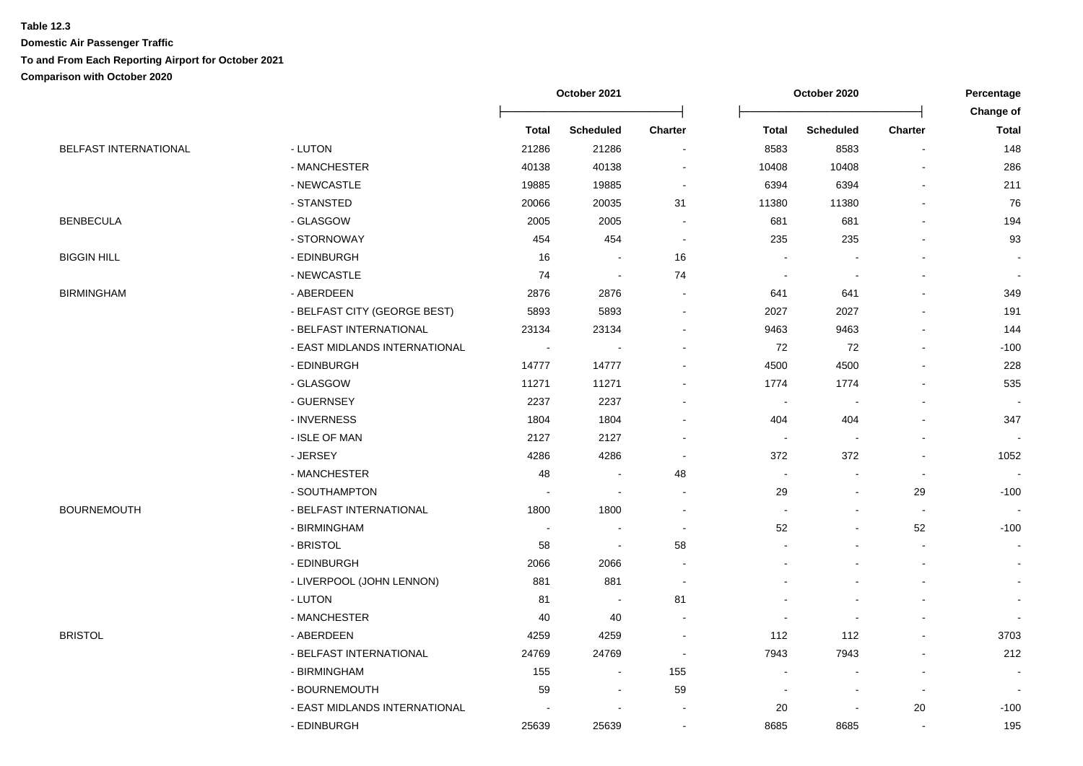|                       |                               | October 2021             |                          |                          | October 2020             | Percentage               |                          |                                  |
|-----------------------|-------------------------------|--------------------------|--------------------------|--------------------------|--------------------------|--------------------------|--------------------------|----------------------------------|
|                       |                               | <b>Total</b>             | <b>Scheduled</b>         | <b>Charter</b>           | <b>Total</b>             | <b>Scheduled</b>         | <b>Charter</b>           | <b>Change of</b><br><b>Total</b> |
| BELFAST INTERNATIONAL | - LUTON                       | 21286                    | 21286                    | $\blacksquare$           | 8583                     | 8583                     | $\sim$                   | 148                              |
|                       | - MANCHESTER                  | 40138                    | 40138                    |                          | 10408                    | 10408                    |                          | 286                              |
|                       | - NEWCASTLE                   | 19885                    | 19885                    | $\blacksquare$           | 6394                     | 6394                     |                          | 211                              |
|                       | - STANSTED                    | 20066                    | 20035                    | 31                       | 11380                    | 11380                    |                          | 76                               |
| <b>BENBECULA</b>      | - GLASGOW                     | 2005                     | 2005                     |                          | 681                      | 681                      |                          | 194                              |
|                       | - STORNOWAY                   | 454                      | 454                      | $\blacksquare$           | 235                      | 235                      |                          | 93                               |
| BIGGIN HILL           | - EDINBURGH                   | 16                       |                          | 16                       |                          |                          |                          |                                  |
|                       | - NEWCASTLE                   | 74                       | $\blacksquare$           | 74                       | $\overline{\phantom{a}}$ | $\overline{\phantom{a}}$ |                          |                                  |
| BIRMINGHAM            | - ABERDEEN                    | 2876                     | 2876                     | $\blacksquare$           | 641                      | 641                      |                          | 349                              |
|                       | - BELFAST CITY (GEORGE BEST)  | 5893                     | 5893                     | ۰                        | 2027                     | 2027                     |                          | 191                              |
|                       | - BELFAST INTERNATIONAL       | 23134                    | 23134                    |                          | 9463                     | 9463                     |                          | 144                              |
|                       | - EAST MIDLANDS INTERNATIONAL | $\overline{\phantom{a}}$ | $\overline{\phantom{a}}$ |                          | 72                       | 72                       |                          | $-100$                           |
|                       | - EDINBURGH                   | 14777                    | 14777                    | ۰                        | 4500                     | 4500                     |                          | 228                              |
|                       | - GLASGOW                     | 11271                    | 11271                    |                          | 1774                     | 1774                     |                          | 535                              |
|                       | - GUERNSEY                    | 2237                     | 2237                     |                          | $\sim$                   | $\blacksquare$           |                          | $\sim$                           |
|                       | - INVERNESS                   | 1804                     | 1804                     |                          | 404                      | 404                      |                          | 347                              |
|                       | - ISLE OF MAN                 | 2127                     | 2127                     |                          |                          |                          |                          |                                  |
|                       | - JERSEY                      | 4286                     | 4286                     |                          | 372                      | 372                      |                          | 1052                             |
|                       | - MANCHESTER                  | 48                       |                          | 48                       | $\sim$                   |                          | $\sim$                   | $\sim$                           |
|                       | - SOUTHAMPTON                 | $\blacksquare$           | J.                       |                          | 29                       |                          | 29                       | $-100$                           |
| <b>BOURNEMOUTH</b>    | - BELFAST INTERNATIONAL       | 1800                     | 1800                     |                          |                          |                          | $\overline{\phantom{a}}$ | $\blacksquare$                   |
|                       | - BIRMINGHAM                  | $\overline{\phantom{a}}$ |                          | $\overline{\phantom{a}}$ | 52                       |                          | 52                       | $-100$                           |
|                       | - BRISTOL                     | 58                       | $\blacksquare$           | 58                       |                          |                          | $\overline{\phantom{a}}$ |                                  |
|                       | - EDINBURGH                   | 2066                     | 2066                     |                          |                          |                          | $\blacksquare$           |                                  |
|                       | - LIVERPOOL (JOHN LENNON)     | 881                      | 881                      | $\blacksquare$           |                          |                          |                          |                                  |
|                       | - LUTON                       | 81                       | $\blacksquare$           | 81                       |                          |                          |                          |                                  |
|                       | - MANCHESTER                  | 40                       | 40                       |                          |                          | $\blacksquare$           |                          |                                  |
| BRISTOL               | - ABERDEEN                    | 4259                     | 4259                     |                          | 112                      | 112                      |                          | 3703                             |
|                       | - BELFAST INTERNATIONAL       | 24769                    | 24769                    |                          | 7943                     | 7943                     |                          | 212                              |
|                       | - BIRMINGHAM                  | 155                      |                          | 155                      |                          |                          |                          |                                  |
|                       | - BOURNEMOUTH                 | 59                       | $\overline{\phantom{a}}$ | 59                       |                          |                          |                          |                                  |
|                       | - EAST MIDLANDS INTERNATIONAL |                          |                          |                          | 20                       | $\blacksquare$           | $20\,$                   | $-100$                           |
|                       | - EDINBURGH                   | 25639                    | 25639                    | $\blacksquare$           | 8685                     | 8685                     | $\blacksquare$           | 195                              |
|                       |                               |                          |                          |                          |                          |                          |                          |                                  |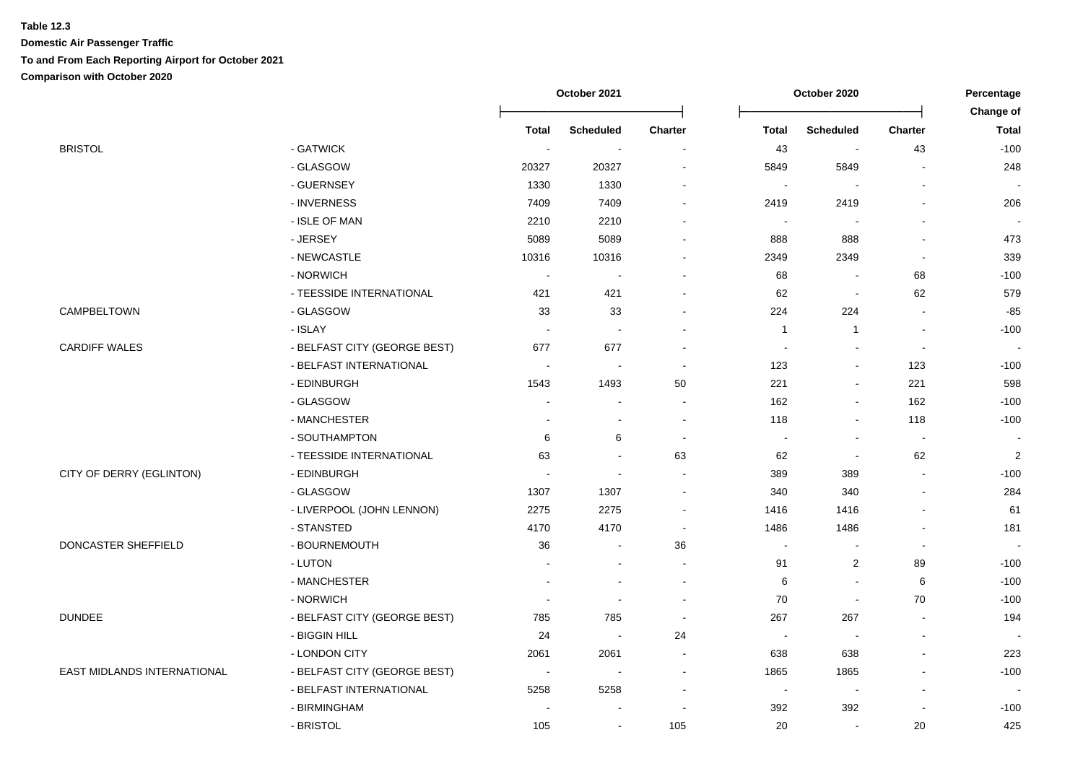|                             |                              | October 2021             |                          |                          | October 2020   |                          |                | Percentage                |  |
|-----------------------------|------------------------------|--------------------------|--------------------------|--------------------------|----------------|--------------------------|----------------|---------------------------|--|
|                             |                              | <b>Total</b>             | <b>Scheduled</b>         | <b>Charter</b>           | <b>Total</b>   | <b>Scheduled</b>         | <b>Charter</b> | Change of<br><b>Total</b> |  |
| <b>BRISTOL</b>              | - GATWICK                    | $\sim$                   | $\blacksquare$           | $\overline{\phantom{a}}$ | 43             | $\sim$                   | 43             | $-100$                    |  |
|                             | - GLASGOW                    | 20327                    | 20327                    | $\overline{\phantom{a}}$ | 5849           | 5849                     | $\overline{a}$ | 248                       |  |
|                             | - GUERNSEY                   | 1330                     | 1330                     | $\overline{\phantom{a}}$ | $\sim$         |                          |                |                           |  |
|                             | - INVERNESS                  | 7409                     | 7409                     |                          | 2419           | 2419                     |                | 206                       |  |
|                             | - ISLE OF MAN                | 2210                     | 2210                     | $\overline{\phantom{a}}$ | $\blacksquare$ |                          | $\blacksquare$ |                           |  |
|                             | - JERSEY                     | 5089                     | 5089                     | $\overline{a}$           | 888            | 888                      |                | 473                       |  |
|                             | - NEWCASTLE                  | 10316                    | 10316                    | $\sim$                   | 2349           | 2349                     | L.             | 339                       |  |
|                             | - NORWICH                    | $\sim$                   | $\sim$                   | $\overline{\phantom{a}}$ | 68             | $\sim$                   | 68             | $-100$                    |  |
|                             | - TEESSIDE INTERNATIONAL     | 421                      | 421                      | $\sim$                   | 62             | $\blacksquare$           | 62             | 579                       |  |
| CAMPBELTOWN                 | - GLASGOW                    | 33                       | 33                       | $\blacksquare$           | 224            | 224                      | $\blacksquare$ | $-85$                     |  |
|                             | - ISLAY                      | $\overline{\phantom{a}}$ | $\sim$                   | $\sim$                   | $\mathbf{1}$   | $\mathbf{1}$             | $\overline{a}$ | $-100$                    |  |
| <b>CARDIFF WALES</b>        | - BELFAST CITY (GEORGE BEST) | 677                      | 677                      | $\overline{\phantom{a}}$ | $\blacksquare$ | $\sim$                   | $\blacksquare$ | $\blacksquare$            |  |
|                             | - BELFAST INTERNATIONAL      | $\sim$                   | $\sim$                   | $\sim$                   | 123            | $\overline{a}$           | 123            | $-100$                    |  |
|                             | - EDINBURGH                  | 1543                     | 1493                     | 50                       | 221            | $\blacksquare$           | 221            | 598                       |  |
|                             | - GLASGOW                    |                          |                          | $\sim$                   | 162            | $\blacksquare$           | 162            | $-100$                    |  |
|                             | - MANCHESTER                 |                          | $\overline{a}$           | $\sim$                   | 118            | $\sim$                   | 118            | $-100$                    |  |
|                             | - SOUTHAMPTON                | 6                        | 6                        | $\sim$                   | $\sim$         | $\blacksquare$           | $\sim$         | $\sim$                    |  |
|                             | - TEESSIDE INTERNATIONAL     | 63                       | ÷,                       | 63                       | 62             | $\overline{\phantom{a}}$ | 62             | $\overline{\mathbf{c}}$   |  |
| CITY OF DERRY (EGLINTON)    | - EDINBURGH                  |                          | $\sim$                   | $\sim$                   | 389            | 389                      | $\overline{a}$ | $-100$                    |  |
|                             | - GLASGOW                    | 1307                     | 1307                     | $\overline{\phantom{a}}$ | 340            | 340                      | $\overline{a}$ | 284                       |  |
|                             | - LIVERPOOL (JOHN LENNON)    | 2275                     | 2275                     | $\blacksquare$           | 1416           | 1416                     | $\blacksquare$ | 61                        |  |
|                             | - STANSTED                   | 4170                     | 4170                     | $\overline{\phantom{a}}$ | 1486           | 1486                     | $\overline{a}$ | 181                       |  |
| DONCASTER SHEFFIELD         | - BOURNEMOUTH                | 36                       | $\sim$                   | $36\,$                   | $\blacksquare$ |                          | $\overline{a}$ |                           |  |
|                             | - LUTON                      | $\blacksquare$           | $\sim$                   | $\sim$                   | 91             | $\overline{2}$           | 89             | $-100$                    |  |
|                             | - MANCHESTER                 |                          | $\sim$                   | $\sim$                   | 6              | $\overline{a}$           | 6              | $-100$                    |  |
|                             | - NORWICH                    |                          |                          | $\overline{\phantom{a}}$ | 70             | $\sim$                   | 70             | $-100$                    |  |
| <b>DUNDEE</b>               | - BELFAST CITY (GEORGE BEST) | 785                      | 785                      | $\overline{\phantom{a}}$ | 267            | 267                      | L.             | 194                       |  |
|                             | - BIGGIN HILL                | 24                       | $\sim$                   | 24                       | $\blacksquare$ |                          | $\overline{a}$ |                           |  |
|                             | - LONDON CITY                | 2061                     | 2061                     | $\sim$                   | 638            | 638                      | $\blacksquare$ | 223                       |  |
| EAST MIDLANDS INTERNATIONAL | - BELFAST CITY (GEORGE BEST) | $\overline{\phantom{a}}$ | $\overline{\phantom{a}}$ | $\sim$                   | 1865           | 1865                     | $\blacksquare$ | $-100$                    |  |
|                             | - BELFAST INTERNATIONAL      | 5258                     | 5258                     | $\sim$                   | $\blacksquare$ | $\overline{\phantom{a}}$ | $\blacksquare$ |                           |  |
|                             | - BIRMINGHAM                 |                          |                          | $\overline{\phantom{a}}$ | 392            | 392                      | $\blacksquare$ | $-100$                    |  |
|                             | - BRISTOL                    | 105                      | $\blacksquare$           | 105                      | 20             | $\blacksquare$           | 20             | 425                       |  |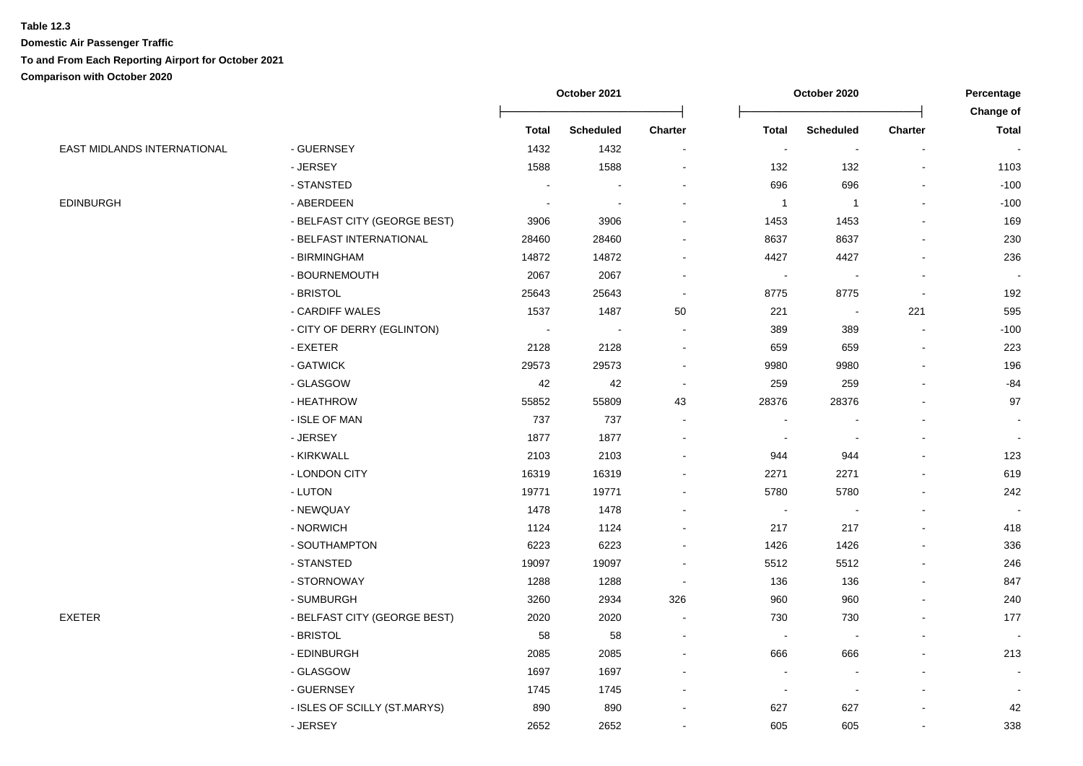|                             |                              | October 2021 |                  |                          | October 2020             | Percentage<br>Change of  |                |              |
|-----------------------------|------------------------------|--------------|------------------|--------------------------|--------------------------|--------------------------|----------------|--------------|
|                             |                              | <b>Total</b> | <b>Scheduled</b> | <b>Charter</b>           | <b>Total</b>             | <b>Scheduled</b>         | <b>Charter</b> | <b>Total</b> |
| EAST MIDLANDS INTERNATIONAL | - GUERNSEY                   | 1432         | 1432             | $\blacksquare$           | $\blacksquare$           | $\blacksquare$           |                |              |
|                             | - JERSEY                     | 1588         | 1588             |                          | 132                      | 132                      |                | 1103         |
|                             | - STANSTED                   | ÷            |                  |                          | 696                      | 696                      |                | $-100$       |
| <b>EDINBURGH</b>            | - ABERDEEN                   | $\sim$       |                  |                          | $\overline{1}$           | $\mathbf{1}$             |                | $-100$       |
|                             | - BELFAST CITY (GEORGE BEST) | 3906         | 3906             |                          | 1453                     | 1453                     |                | 169          |
|                             | - BELFAST INTERNATIONAL      | 28460        | 28460            |                          | 8637                     | 8637                     |                | 230          |
|                             | - BIRMINGHAM                 | 14872        | 14872            |                          | 4427                     | 4427                     |                | 236          |
|                             | - BOURNEMOUTH                | 2067         | 2067             |                          | $\overline{\phantom{a}}$ |                          |                | $\sim$       |
|                             | - BRISTOL                    | 25643        | 25643            | $\blacksquare$           | 8775                     | 8775                     |                | 192          |
|                             | - CARDIFF WALES              | 1537         | 1487             | 50                       | 221                      | $\sim$                   | 221            | 595          |
|                             | - CITY OF DERRY (EGLINTON)   | $\sim$       | $\sim$           | $\overline{\phantom{0}}$ | 389                      | 389                      | $\blacksquare$ | $-100$       |
|                             | - EXETER                     | 2128         | 2128             | ۰                        | 659                      | 659                      |                | 223          |
|                             | - GATWICK                    | 29573        | 29573            |                          | 9980                     | 9980                     |                | 196          |
|                             | - GLASGOW                    | 42           | 42               | ÷,                       | 259                      | 259                      |                | -84          |
|                             | - HEATHROW                   | 55852        | 55809            | 43                       | 28376                    | 28376                    |                | 97           |
|                             | - ISLE OF MAN                | 737          | 737              |                          |                          |                          |                |              |
|                             | - JERSEY                     | 1877         | 1877             |                          |                          |                          |                |              |
|                             | - KIRKWALL                   | 2103         | 2103             |                          | 944                      | 944                      |                | 123          |
|                             | - LONDON CITY                | 16319        | 16319            |                          | 2271                     | 2271                     |                | 619          |
|                             | - LUTON                      | 19771        | 19771            |                          | 5780                     | 5780                     |                | 242          |
|                             | - NEWQUAY                    | 1478         | 1478             |                          | $\blacksquare$           | $\overline{\phantom{a}}$ |                |              |
|                             | - NORWICH                    | 1124         | 1124             |                          | 217                      | 217                      |                | 418          |
|                             | - SOUTHAMPTON                | 6223         | 6223             |                          | 1426                     | 1426                     |                | 336          |
|                             | - STANSTED                   | 19097        | 19097            |                          | 5512                     | 5512                     |                | 246          |
|                             | - STORNOWAY                  | 1288         | 1288             |                          | 136                      | 136                      |                | 847          |
|                             | - SUMBURGH                   | 3260         | 2934             | 326                      | 960                      | 960                      |                | 240          |
| <b>EXETER</b>               | - BELFAST CITY (GEORGE BEST) | 2020         | 2020             | $\blacksquare$           | 730                      | 730                      |                | 177          |
|                             | - BRISTOL                    | 58           | 58               | $\blacksquare$           | $\sim$                   | $\overline{\phantom{a}}$ |                |              |
|                             | - EDINBURGH                  | 2085         | 2085             |                          | 666                      | 666                      |                | 213          |
|                             | - GLASGOW                    | 1697         | 1697             |                          |                          |                          |                |              |
|                             | - GUERNSEY                   | 1745         | 1745             |                          | $\blacksquare$           | $\blacksquare$           |                |              |
|                             | - ISLES OF SCILLY (ST.MARYS) | 890          | 890              |                          | 627                      | 627                      |                | 42           |
|                             | - JERSEY                     | 2652         | 2652             |                          | 605                      | 605                      |                | 338          |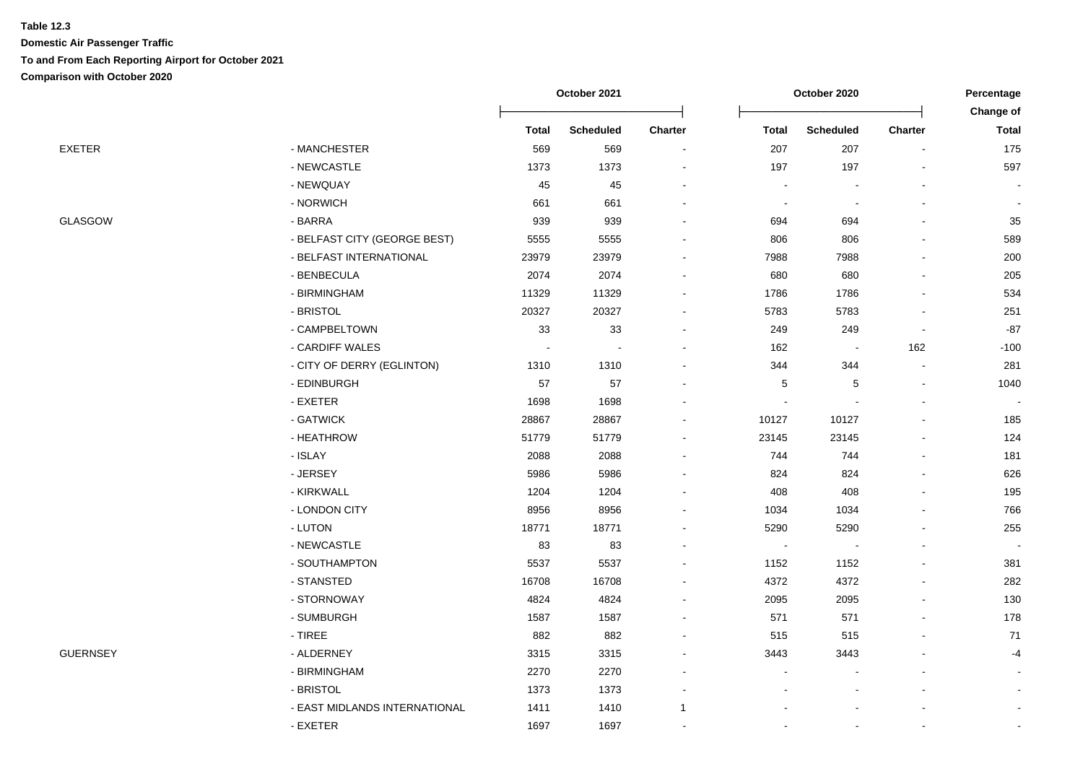|                 |                               | October 2021 |                  |                          | October 2020   | Percentage               |                          |                |
|-----------------|-------------------------------|--------------|------------------|--------------------------|----------------|--------------------------|--------------------------|----------------|
|                 |                               |              |                  |                          |                |                          |                          | Change of      |
|                 |                               | Total        | <b>Scheduled</b> | Charter                  | <b>Total</b>   | <b>Scheduled</b>         | <b>Charter</b>           | <b>Total</b>   |
| <b>EXETER</b>   | - MANCHESTER                  | 569          | 569              | $\sim$                   | 207            | 207                      | $\overline{\phantom{a}}$ | 175            |
|                 | - NEWCASTLE                   | 1373         | 1373             |                          | 197            | 197                      |                          | 597            |
|                 | - NEWQUAY                     | 45           | 45               |                          |                |                          |                          |                |
|                 | - NORWICH                     | 661          | 661              |                          |                |                          |                          |                |
| <b>GLASGOW</b>  | - BARRA                       | 939          | 939              |                          | 694            | 694                      |                          | 35             |
|                 | - BELFAST CITY (GEORGE BEST)  | 5555         | 5555             |                          | 806            | 806                      |                          | 589            |
|                 | - BELFAST INTERNATIONAL       | 23979        | 23979            |                          | 7988           | 7988                     |                          | 200            |
|                 | - BENBECULA                   | 2074         | 2074             |                          | 680            | 680                      |                          | 205            |
|                 | - BIRMINGHAM                  | 11329        | 11329            | $\blacksquare$           | 1786           | 1786                     | $\overline{a}$           | 534            |
|                 | - BRISTOL                     | 20327        | 20327            | $\overline{\phantom{a}}$ | 5783           | 5783                     | $\blacksquare$           | 251            |
|                 | - CAMPBELTOWN                 | 33           | 33               | $\blacksquare$           | 249            | 249                      | $\overline{\phantom{a}}$ | $-87$          |
|                 | - CARDIFF WALES               |              | $\overline{a}$   |                          | 162            | $\sim$                   | 162                      | $-100$         |
|                 | - CITY OF DERRY (EGLINTON)    | 1310         | 1310             |                          | 344            | 344                      | $\blacksquare$           | 281            |
|                 | - EDINBURGH                   | 57           | 57               |                          | 5              | $\,$ 5 $\,$              | $\blacksquare$           | 1040           |
|                 | - EXETER                      | 1698         | 1698             |                          |                |                          |                          |                |
|                 | - GATWICK                     | 28867        | 28867            |                          | 10127          | 10127                    | $\overline{a}$           | 185            |
|                 | - HEATHROW                    | 51779        | 51779            | $\blacksquare$           | 23145          | 23145                    | $\overline{a}$           | 124            |
|                 | - ISLAY                       | 2088         | 2088             | $\blacksquare$           | 744            | 744                      | L,                       | 181            |
|                 | - JERSEY                      | 5986         | 5986             |                          | 824            | 824                      |                          | 626            |
|                 | - KIRKWALL                    | 1204         | 1204             | $\blacksquare$           | 408            | 408                      |                          | 195            |
|                 | - LONDON CITY                 | 8956         | 8956             | $\blacksquare$           | 1034           | 1034                     |                          | 766            |
|                 | - LUTON                       | 18771        | 18771            | $\blacksquare$           | 5290           | 5290                     | $\overline{a}$           | 255            |
|                 | - NEWCASTLE                   | 83           | 83               |                          | $\blacksquare$ | $\overline{\phantom{a}}$ |                          |                |
|                 | - SOUTHAMPTON                 | 5537         | 5537             |                          | 1152           | 1152                     |                          | 381            |
|                 | - STANSTED                    | 16708        | 16708            |                          | 4372           | 4372                     |                          | 282            |
|                 | - STORNOWAY                   | 4824         | 4824             |                          | 2095           | 2095                     |                          | 130            |
|                 | - SUMBURGH                    | 1587         | 1587             |                          | 571            | 571                      |                          | 178            |
|                 | $-$ TIREE                     | 882          | 882              | $\blacksquare$           | 515            | 515                      |                          | 71             |
| <b>GUERNSEY</b> | - ALDERNEY                    | 3315         | 3315             | $\overline{\phantom{a}}$ | 3443           | 3443                     |                          | $-4$           |
|                 | - BIRMINGHAM                  | 2270         | 2270             |                          |                |                          |                          |                |
|                 | - BRISTOL                     | 1373         | 1373             | $\blacksquare$           |                |                          |                          |                |
|                 | - EAST MIDLANDS INTERNATIONAL | 1411         | 1410             | $\mathbf{1}$             |                |                          |                          | $\blacksquare$ |
|                 | - EXETER                      | 1697         | 1697             | $\blacksquare$           |                |                          | $\blacksquare$           |                |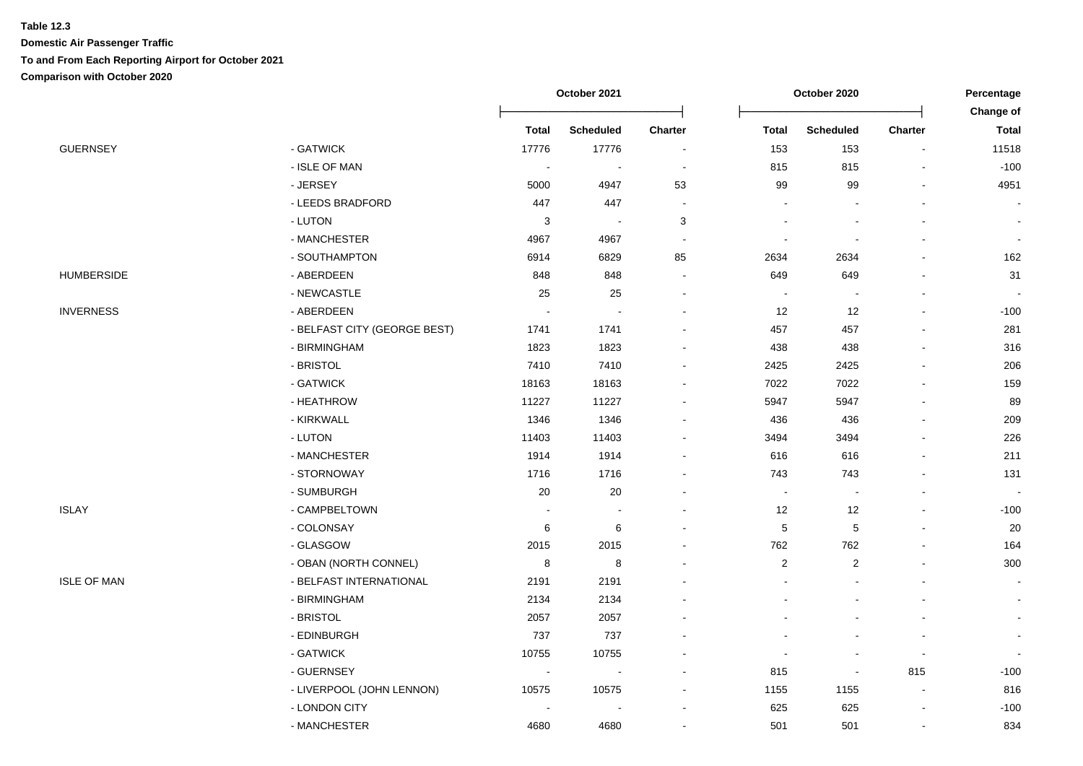|                    |                              | October 2021             |                  |                          |                | October 2020     |                |                           |
|--------------------|------------------------------|--------------------------|------------------|--------------------------|----------------|------------------|----------------|---------------------------|
|                    |                              | <b>Total</b>             | <b>Scheduled</b> | Charter                  | <b>Total</b>   | <b>Scheduled</b> | <b>Charter</b> | Change of<br><b>Total</b> |
| <b>GUERNSEY</b>    | - GATWICK                    | 17776                    | 17776            | $\overline{\phantom{a}}$ | 153            | 153              | $\blacksquare$ | 11518                     |
|                    | - ISLE OF MAN                | $\blacksquare$           |                  | ÷,                       | 815            | 815              |                | $-100$                    |
|                    | - JERSEY                     | 5000                     | 4947             | 53                       | 99             | 99               |                | 4951                      |
|                    | - LEEDS BRADFORD             | 447                      | 447              | $\overline{\phantom{a}}$ |                |                  |                |                           |
|                    | - LUTON                      | 3                        |                  | 3                        |                |                  |                |                           |
|                    | - MANCHESTER                 | 4967                     | 4967             | $\blacksquare$           |                |                  |                |                           |
|                    | - SOUTHAMPTON                | 6914                     | 6829             | 85                       | 2634           | 2634             |                | 162                       |
| <b>HUMBERSIDE</b>  | - ABERDEEN                   | 848                      | 848              | $\overline{\phantom{a}}$ | 649            | 649              |                | 31                        |
|                    | - NEWCASTLE                  | 25                       | 25               |                          |                |                  |                |                           |
| <b>INVERNESS</b>   | - ABERDEEN                   |                          |                  |                          | 12             | 12               | $\overline{a}$ | $-100$                    |
|                    | - BELFAST CITY (GEORGE BEST) | 1741                     | 1741             |                          | 457            | 457              |                | 281                       |
|                    | - BIRMINGHAM                 | 1823                     | 1823             |                          | 438            | 438              |                | 316                       |
|                    | - BRISTOL                    | 7410                     | 7410             |                          | 2425           | 2425             |                | 206                       |
|                    | - GATWICK                    | 18163                    | 18163            |                          | 7022           | 7022             |                | 159                       |
|                    | - HEATHROW                   | 11227                    | 11227            |                          | 5947           | 5947             |                | 89                        |
|                    | - KIRKWALL                   | 1346                     | 1346             |                          | 436            | 436              |                | 209                       |
|                    | - LUTON                      | 11403                    | 11403            |                          | 3494           | 3494             |                | 226                       |
|                    | - MANCHESTER                 | 1914                     | 1914             |                          | 616            | 616              |                | 211                       |
|                    | - STORNOWAY                  | 1716                     | 1716             |                          | 743            | 743              |                | 131                       |
|                    | - SUMBURGH                   | $20\,$                   | 20               |                          | $\blacksquare$ |                  |                |                           |
| <b>ISLAY</b>       | - CAMPBELTOWN                |                          |                  |                          | 12             | 12               |                | $-100$                    |
|                    | - COLONSAY                   | 6                        | 6                |                          | $\mathbf 5$    | 5                |                | $20\,$                    |
|                    | - GLASGOW                    | 2015                     | 2015             |                          | 762            | 762              |                | 164                       |
|                    | - OBAN (NORTH CONNEL)        | 8                        | 8                |                          | 2              | 2                |                | 300                       |
| <b>ISLE OF MAN</b> | - BELFAST INTERNATIONAL      | 2191                     | 2191             |                          |                |                  |                |                           |
|                    | - BIRMINGHAM                 | 2134                     | 2134             |                          |                |                  |                |                           |
|                    | - BRISTOL                    | 2057                     | 2057             |                          |                |                  |                |                           |
|                    | - EDINBURGH                  | 737                      | 737              |                          |                |                  |                |                           |
|                    | - GATWICK                    | 10755                    | 10755            |                          |                |                  |                |                           |
|                    | - GUERNSEY                   | $\overline{\phantom{a}}$ |                  |                          | 815            | $\blacksquare$   | 815            | $-100$                    |
|                    | - LIVERPOOL (JOHN LENNON)    | 10575                    | 10575            |                          | 1155           | 1155             | $\blacksquare$ | 816                       |
|                    | - LONDON CITY                |                          |                  |                          | 625            | 625              |                | $-100$                    |
|                    | - MANCHESTER                 | 4680                     | 4680             |                          | 501            | 501              |                | 834                       |
|                    |                              |                          |                  |                          |                |                  |                |                           |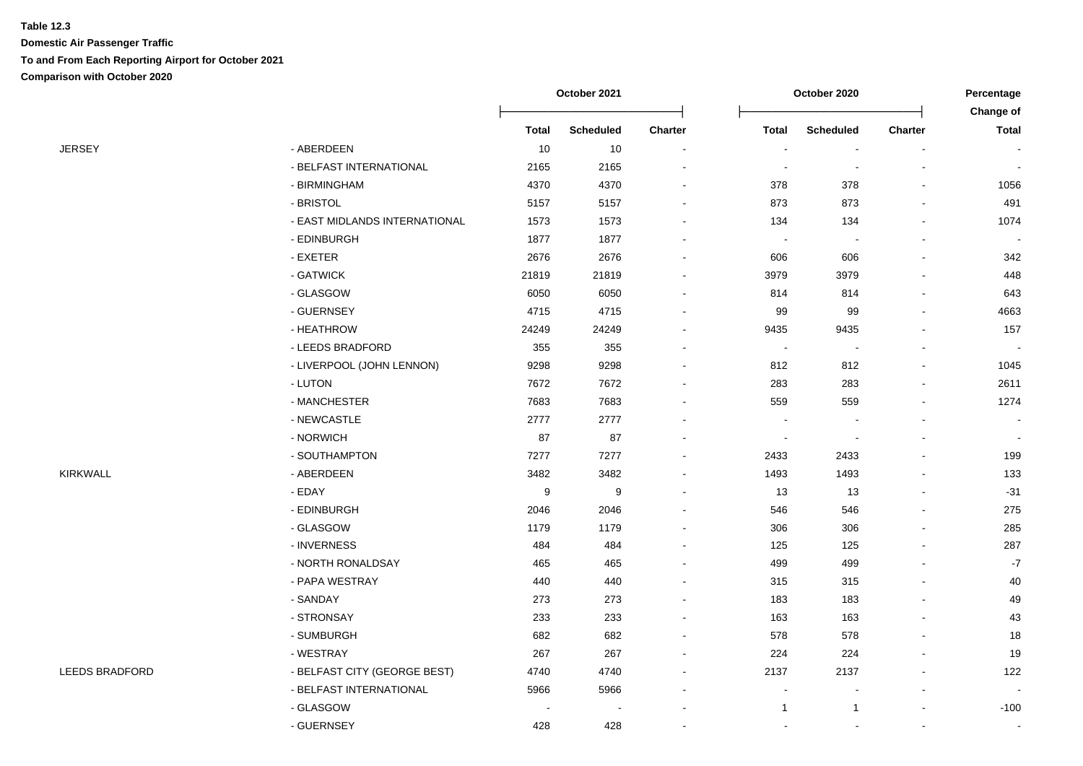|                       |                               | October 2021 |                  | October 2020   |                |                          | Percentage<br>Change of |                          |
|-----------------------|-------------------------------|--------------|------------------|----------------|----------------|--------------------------|-------------------------|--------------------------|
|                       |                               | <b>Total</b> | <b>Scheduled</b> | <b>Charter</b> | <b>Total</b>   | <b>Scheduled</b>         | <b>Charter</b>          | <b>Total</b>             |
| <b>JERSEY</b>         | - ABERDEEN                    | 10           | 10               | $\blacksquare$ |                | $\blacksquare$           |                         | $\overline{\phantom{a}}$ |
|                       | - BELFAST INTERNATIONAL       | 2165         | 2165             |                |                |                          |                         |                          |
|                       | - BIRMINGHAM                  | 4370         | 4370             |                | 378            | 378                      |                         | 1056                     |
|                       | - BRISTOL                     | 5157         | 5157             |                | 873            | 873                      |                         | 491                      |
|                       | - EAST MIDLANDS INTERNATIONAL | 1573         | 1573             |                | 134            | 134                      |                         | 1074                     |
|                       | - EDINBURGH                   | 1877         | 1877             |                |                | $\overline{\phantom{a}}$ |                         |                          |
|                       | - EXETER                      | 2676         | 2676             |                | 606            | 606                      |                         | 342                      |
|                       | - GATWICK                     | 21819        | 21819            |                | 3979           | 3979                     |                         | 448                      |
|                       | - GLASGOW                     | 6050         | 6050             |                | 814            | 814                      |                         | 643                      |
|                       | - GUERNSEY                    | 4715         | 4715             |                | 99             | 99                       |                         | 4663                     |
|                       | - HEATHROW                    | 24249        | 24249            |                | 9435           | 9435                     |                         | 157                      |
|                       | - LEEDS BRADFORD              | 355          | 355              |                | $\blacksquare$ | $\sim$                   |                         |                          |
|                       | - LIVERPOOL (JOHN LENNON)     | 9298         | 9298             |                | 812            | 812                      |                         | 1045                     |
|                       | - LUTON                       | 7672         | 7672             |                | 283            | 283                      |                         | 2611                     |
|                       | - MANCHESTER                  | 7683         | 7683             |                | 559            | 559                      |                         | 1274                     |
|                       | - NEWCASTLE                   | 2777         | 2777             |                |                |                          |                         | $\sim$                   |
|                       | - NORWICH                     | 87           | 87               |                |                |                          |                         | $\overline{\phantom{a}}$ |
|                       | - SOUTHAMPTON                 | 7277         | 7277             |                | 2433           | 2433                     |                         | 199                      |
| KIRKWALL              | - ABERDEEN                    | 3482         | 3482             |                | 1493           | 1493                     |                         | 133                      |
|                       | - EDAY                        | 9            | 9                |                | 13             | 13                       |                         | $-31$                    |
|                       | - EDINBURGH                   | 2046         | 2046             |                | 546            | 546                      |                         | 275                      |
|                       | - GLASGOW                     | 1179         | 1179             |                | 306            | 306                      |                         | 285                      |
|                       | - INVERNESS                   | 484          | 484              |                | 125            | 125                      |                         | 287                      |
|                       | - NORTH RONALDSAY             | 465          | 465              |                | 499            | 499                      |                         | $\textnormal{-}7$        |
|                       | - PAPA WESTRAY                | 440          | 440              |                | 315            | 315                      |                         | 40                       |
|                       | - SANDAY                      | 273          | 273              |                | 183            | 183                      |                         | 49                       |
|                       | - STRONSAY                    | 233          | 233              |                | 163            | 163                      |                         | 43                       |
|                       | - SUMBURGH                    | 682          | 682              |                | 578            | 578                      |                         | 18                       |
|                       | - WESTRAY                     | 267          | 267              |                | 224            | 224                      |                         | 19                       |
| <b>LEEDS BRADFORD</b> | - BELFAST CITY (GEORGE BEST)  | 4740         | 4740             |                | 2137           | 2137                     |                         | 122                      |
|                       | - BELFAST INTERNATIONAL       | 5966         | 5966             |                |                |                          |                         |                          |
|                       | - GLASGOW                     |              |                  |                | 1              | -1                       |                         | $-100$                   |
|                       | - GUERNSEY                    | 428          | 428              | $\overline{a}$ |                |                          | $\sim$                  | $\sim$                   |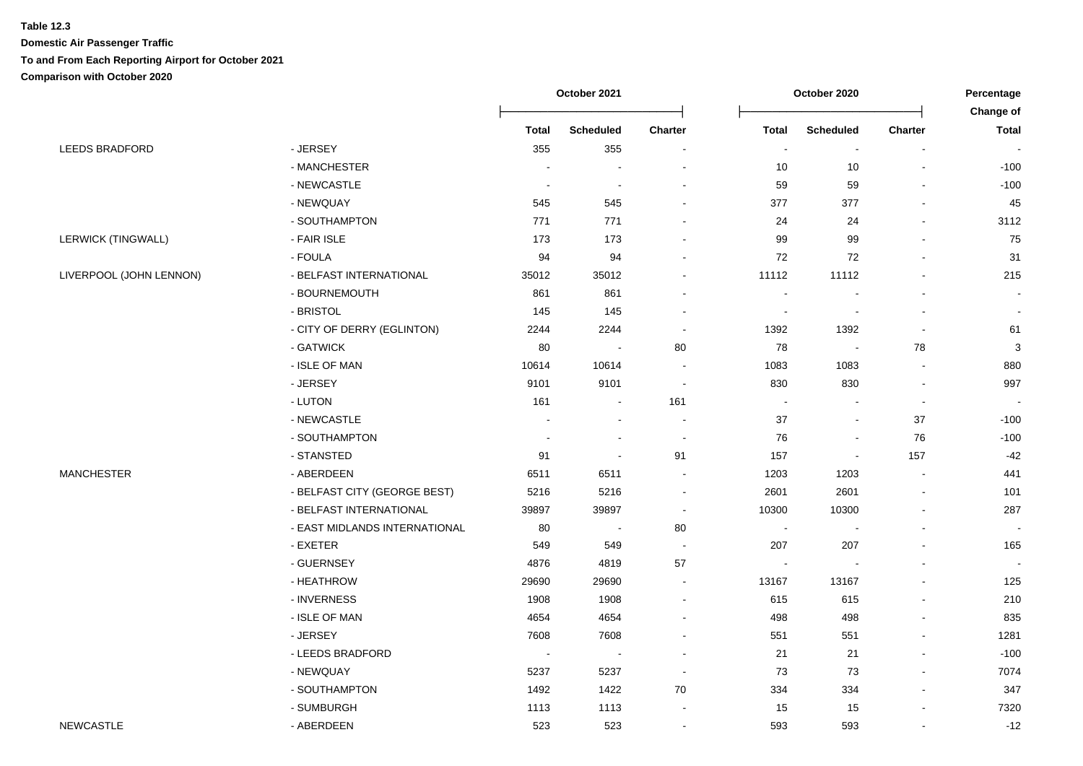|                         |                               | October 2021 |                  | October 2020             |                |                  | Percentage<br>Change of  |              |
|-------------------------|-------------------------------|--------------|------------------|--------------------------|----------------|------------------|--------------------------|--------------|
|                         |                               | <b>Total</b> | <b>Scheduled</b> | Charter                  | <b>Total</b>   | <b>Scheduled</b> | <b>Charter</b>           | <b>Total</b> |
| LEEDS BRADFORD          | - JERSEY                      | 355          | 355              | $\overline{a}$           | $\sim$         | $\blacksquare$   | $\sim$                   | $\sim$       |
|                         | - MANCHESTER                  |              |                  |                          | 10             | 10               | $\overline{a}$           | $-100$       |
|                         | - NEWCASTLE                   |              |                  |                          | 59             | 59               |                          | $-100$       |
|                         | - NEWQUAY                     | 545          | 545              |                          | 377            | 377              |                          | 45           |
|                         | - SOUTHAMPTON                 | 771          | 771              |                          | 24             | 24               |                          | 3112         |
| LERWICK (TINGWALL)      | - FAIR ISLE                   | 173          | 173              |                          | 99             | 99               |                          | 75           |
|                         | - FOULA                       | 94           | 94               |                          | 72             | 72               | $\overline{\phantom{a}}$ | 31           |
| LIVERPOOL (JOHN LENNON) | - BELFAST INTERNATIONAL       | 35012        | 35012            |                          | 11112          | 11112            |                          | 215          |
|                         | - BOURNEMOUTH                 | 861          | 861              |                          |                |                  |                          |              |
|                         | - BRISTOL                     | 145          | 145              | $\overline{a}$           | $\blacksquare$ | $\blacksquare$   | $\sim$                   | $\sim$       |
|                         | - CITY OF DERRY (EGLINTON)    | 2244         | 2244             | $\overline{\phantom{a}}$ | 1392           | 1392             | $\overline{a}$           | 61           |
|                         | - GATWICK                     | 80           | $\sim$           | 80                       | 78             | $\sim$           | 78                       | $\mathbf{3}$ |
|                         | - ISLE OF MAN                 | 10614        | 10614            |                          | 1083           | 1083             | $\overline{\phantom{a}}$ | 880          |
|                         | - JERSEY                      | 9101         | 9101             |                          | 830            | 830              | $\blacksquare$           | 997          |
|                         | - LUTON                       | 161          |                  | 161                      | $\blacksquare$ |                  | $\blacksquare$           |              |
|                         | - NEWCASTLE                   |              |                  |                          | 37             | $\sim$           | 37                       | $-100$       |
|                         | - SOUTHAMPTON                 |              |                  | ÷,                       | 76             | $\blacksquare$   | 76                       | $-100$       |
|                         | - STANSTED                    | 91           |                  | 91                       | 157            | $\blacksquare$   | 157                      | -42          |
| MANCHESTER              | - ABERDEEN                    | 6511         | 6511             |                          | 1203           | 1203             | $\blacksquare$           | 441          |
|                         | - BELFAST CITY (GEORGE BEST)  | 5216         | 5216             |                          | 2601           | 2601             | $\overline{a}$           | 101          |
|                         | - BELFAST INTERNATIONAL       | 39897        | 39897            | $\overline{\phantom{a}}$ | 10300          | 10300            | $\mathbf{r}$             | 287          |
|                         | - EAST MIDLANDS INTERNATIONAL | 80           | $\blacksquare$   | 80                       | $\sim$         | $\blacksquare$   | $\mathbf{r}$             | $\sim$       |
|                         | - EXETER                      | 549          | 549              |                          | 207            | 207              |                          | 165          |
|                         | - GUERNSEY                    | 4876         | 4819             | 57                       | $\sim$         | $\blacksquare$   |                          | $\sim$       |
|                         | - HEATHROW                    | 29690        | 29690            |                          | 13167          | 13167            |                          | 125          |
|                         | - INVERNESS                   | 1908         | 1908             |                          | 615            | 615              |                          | 210          |
|                         | - ISLE OF MAN                 | 4654         | 4654             |                          | 498            | 498              |                          | 835          |
|                         | - JERSEY                      | 7608         | 7608             |                          | 551            | 551              |                          | 1281         |
|                         | - LEEDS BRADFORD              | $\sim$       |                  |                          | 21             | 21               | $\blacksquare$           | $-100$       |
|                         | - NEWQUAY                     | 5237         | 5237             |                          | 73             | 73               | $\overline{a}$           | 7074         |
|                         | - SOUTHAMPTON                 | 1492         | 1422             | 70                       | 334            | 334              | $\overline{a}$           | 347          |
|                         | - SUMBURGH                    | 1113         | 1113             |                          | 15             | 15               | $\blacksquare$           | 7320         |
| <b>NEWCASTLE</b>        | - ABERDEEN                    | 523          | 523              | $\blacksquare$           | 593            | 593              | $\blacksquare$           | $-12$        |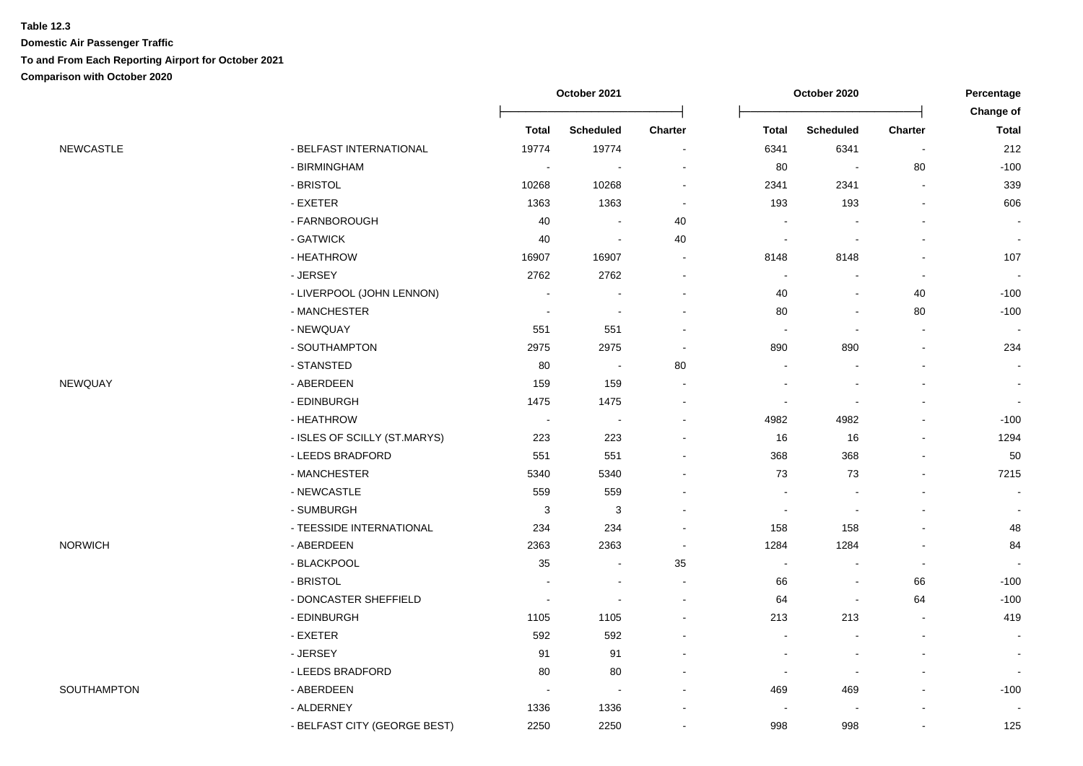|                  |                              | October 2021             |                           |                          |                          | October 2020     |                          |                          |
|------------------|------------------------------|--------------------------|---------------------------|--------------------------|--------------------------|------------------|--------------------------|--------------------------|
|                  |                              |                          |                           |                          |                          |                  |                          | Change of                |
|                  |                              | <b>Total</b>             | <b>Scheduled</b>          | <b>Charter</b>           | <b>Total</b>             | <b>Scheduled</b> | Charter                  | <b>Total</b>             |
| <b>NEWCASTLE</b> | - BELFAST INTERNATIONAL      | 19774                    | 19774                     | $\sim$                   | 6341                     | 6341             | $\blacksquare$           | 212                      |
|                  | - BIRMINGHAM                 | $\sim$                   | $\sim$                    |                          | 80                       | $\blacksquare$   | 80                       | $-100$                   |
|                  | - BRISTOL                    | 10268                    | 10268                     | $\sim$                   | 2341                     | 2341             | $\overline{a}$           | 339                      |
|                  | - EXETER                     | 1363                     | 1363                      | $\sim$                   | 193                      | 193              |                          | 606                      |
|                  | - FARNBOROUGH                | 40                       |                           | 40                       |                          |                  |                          | $\overline{\phantom{a}}$ |
|                  | - GATWICK                    | 40                       | $\overline{\phantom{a}}$  | 40                       | $\overline{\phantom{a}}$ |                  |                          | $\blacksquare$           |
|                  | - HEATHROW                   | 16907                    | 16907                     | $\sim$                   | 8148                     | 8148             |                          | 107                      |
| - JERSEY         |                              | 2762                     | 2762                      | $\overline{\phantom{a}}$ | $\overline{\phantom{a}}$ |                  | $\blacksquare$           | $\sim$                   |
|                  | - LIVERPOOL (JOHN LENNON)    |                          | $\overline{\phantom{a}}$  |                          | 40                       |                  | 40                       | $-100$                   |
|                  | - MANCHESTER                 | $\overline{\phantom{a}}$ | $\sim$                    | $\sim$                   | 80                       |                  | 80                       | $-100$                   |
|                  | - NEWQUAY                    | 551                      | 551                       | $\overline{\phantom{a}}$ | $\blacksquare$           |                  | $\overline{a}$           |                          |
|                  | - SOUTHAMPTON                | 2975                     | 2975                      | $\blacksquare$           | 890                      | 890              | $\blacksquare$           | 234                      |
|                  | - STANSTED                   | 80                       | $\sim$                    | 80                       | $\sim$                   | $\sim$           | $\overline{\phantom{a}}$ | $\sim$                   |
| NEWQUAY          | - ABERDEEN                   | 159                      | 159                       |                          | $\blacksquare$           |                  |                          | $\blacksquare$           |
|                  | - EDINBURGH                  | 1475                     | 1475                      |                          |                          |                  |                          | $\blacksquare$           |
|                  | - HEATHROW                   | $\sim$                   | $\overline{\phantom{a}}$  | $\sim$                   | 4982                     | 4982             |                          | $-100$                   |
|                  | - ISLES OF SCILLY (ST.MARYS) | 223                      | 223                       |                          | 16                       | 16               | $\blacksquare$           | 1294                     |
|                  | - LEEDS BRADFORD             | 551                      | 551                       |                          | 368                      | 368              |                          | 50                       |
|                  | - MANCHESTER                 | 5340                     | 5340                      |                          | 73                       | 73               | $\blacksquare$           | 7215                     |
|                  | - NEWCASTLE                  | 559                      | 559                       |                          | $\sim$                   |                  |                          | $\blacksquare$           |
|                  | - SUMBURGH                   | $\mathsf 3$              | $\ensuremath{\mathsf{3}}$ |                          |                          |                  |                          | $\blacksquare$           |
|                  | - TEESSIDE INTERNATIONAL     | 234                      | 234                       |                          | 158                      | 158              | $\overline{a}$           | 48                       |
| <b>NORWICH</b>   | - ABERDEEN                   | 2363                     | 2363                      | $\overline{\phantom{a}}$ | 1284                     | 1284             | $\overline{a}$           | 84                       |
|                  | - BLACKPOOL                  | 35                       | $\sim$                    | 35                       | $\blacksquare$           |                  |                          |                          |
|                  | - BRISTOL                    | $\overline{\phantom{a}}$ | $\blacksquare$            | $\sim$                   | 66                       | $\blacksquare$   | 66                       | $-100$                   |
|                  | - DONCASTER SHEFFIELD        | $\overline{\phantom{a}}$ | $\overline{\phantom{a}}$  | $\overline{\phantom{a}}$ | 64                       | $\blacksquare$   | 64                       | $-100$                   |
|                  | - EDINBURGH                  | 1105                     | 1105                      |                          | 213                      | 213              |                          | 419                      |
|                  | - EXETER                     | 592                      | 592                       |                          | $\sim$                   |                  | $\overline{\phantom{a}}$ | $\sim$                   |
|                  | - JERSEY                     | 91                       | 91                        |                          |                          |                  | $\overline{a}$           | $\blacksquare$           |
|                  | - LEEDS BRADFORD             | 80                       | 80                        |                          | $\blacksquare$           |                  |                          |                          |
| SOUTHAMPTON      | - ABERDEEN                   | $\overline{\phantom{a}}$ | $\overline{\phantom{a}}$  |                          | 469                      | 469              |                          | $-100$                   |
|                  | - ALDERNEY                   | 1336                     | 1336                      |                          |                          |                  |                          |                          |
|                  | - BELFAST CITY (GEORGE BEST) | 2250                     | 2250                      |                          | 998                      | 998              | $\blacksquare$           | 125                      |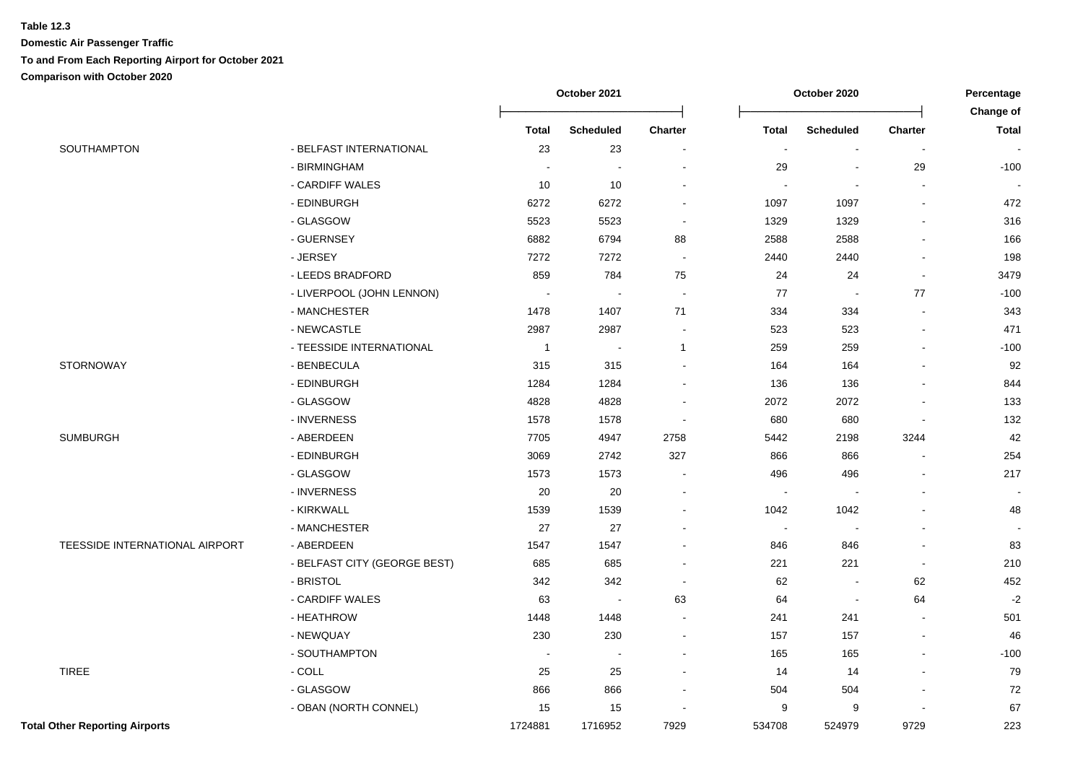|                                       |                              | October 2021<br>October 2020 |                  | Percentage<br>Change of     |                |                  |                          |                |
|---------------------------------------|------------------------------|------------------------------|------------------|-----------------------------|----------------|------------------|--------------------------|----------------|
|                                       |                              | <b>Total</b>                 | <b>Scheduled</b> | <b>Charter</b>              | <b>Total</b>   | <b>Scheduled</b> | <b>Charter</b>           | <b>Total</b>   |
| SOUTHAMPTON                           | - BELFAST INTERNATIONAL      | 23                           | 23               | $\overline{\phantom{a}}$    | $\blacksquare$ | $\blacksquare$   | $\sim$                   | $\blacksquare$ |
|                                       | - BIRMINGHAM                 |                              | $\sim$           |                             | 29             | $\sim$           | 29                       | $-100$         |
|                                       | - CARDIFF WALES              | 10                           | 10               | ÷,                          |                |                  | $\sim$                   |                |
|                                       | - EDINBURGH                  | 6272                         | 6272             | $\overline{\phantom{a}}$    | 1097           | 1097             |                          | 472            |
|                                       | - GLASGOW                    | 5523                         | 5523             | $\blacksquare$              | 1329           | 1329             | $\sim$                   | 316            |
|                                       | - GUERNSEY                   | 6882                         | 6794             | 88                          | 2588           | 2588             |                          | 166            |
|                                       | - JERSEY                     | 7272                         | 7272             | $\mathcal{L}_{\mathcal{A}}$ | 2440           | 2440             | $\sim$                   | 198            |
|                                       | - LEEDS BRADFORD             | 859                          | 784              | 75                          | 24             | 24               | $\sim$                   | 3479           |
|                                       | - LIVERPOOL (JOHN LENNON)    | $\sim$                       | $\sim$           | $\mathcal{L}_{\mathbf{r}}$  | 77             | $\sim$           | $77$                     | $-100$         |
|                                       | - MANCHESTER                 | 1478                         | 1407             | 71                          | 334            | 334              | $\sim$                   | 343            |
|                                       | - NEWCASTLE                  | 2987                         | 2987             | $\sim$                      | 523            | 523              | $\blacksquare$           | 471            |
|                                       | - TEESSIDE INTERNATIONAL     | $\overline{1}$               | $\blacksquare$   | $\mathbf{1}$                | 259            | 259              | $\sim$                   | $-100$         |
| STORNOWAY                             | - BENBECULA                  | 315                          | 315              |                             | 164            | 164              |                          | 92             |
|                                       | - EDINBURGH                  | 1284                         | 1284             | ÷.                          | 136            | 136              | $\overline{a}$           | 844            |
|                                       | - GLASGOW                    | 4828                         | 4828             |                             | 2072           | 2072             |                          | 133            |
|                                       | - INVERNESS                  | 1578                         | 1578             | $\overline{\phantom{a}}$    | 680            | 680              |                          | 132            |
| <b>SUMBURGH</b>                       | - ABERDEEN                   | 7705                         | 4947             | 2758                        | 5442           | 2198             | 3244                     | 42             |
|                                       | - EDINBURGH                  | 3069                         | 2742             | 327                         | 866            | 866              | $\sim$                   | 254            |
|                                       | - GLASGOW                    | 1573                         | 1573             | $\overline{\phantom{a}}$    | 496            | 496              |                          | 217            |
|                                       | - INVERNESS                  | 20                           | $20\,$           | $\overline{a}$              | $\sim$         | $\blacksquare$   |                          |                |
|                                       | - KIRKWALL                   | 1539                         | 1539             | $\sim$                      | 1042           | 1042             | $\sim$                   | 48             |
|                                       | - MANCHESTER                 | 27                           | 27               | $\overline{a}$              | $\blacksquare$ | $\blacksquare$   |                          |                |
| TEESSIDE INTERNATIONAL AIRPORT        | - ABERDEEN                   | 1547                         | 1547             | $\overline{a}$              | 846            | 846              | $\blacksquare$           | 83             |
|                                       | - BELFAST CITY (GEORGE BEST) | 685                          | 685              | ÷,                          | 221            | 221              | $\sim$                   | 210            |
|                                       | - BRISTOL                    | 342                          | 342              | $\sim$                      | 62             | $\sim$           | 62                       | 452            |
|                                       | - CARDIFF WALES              | 63                           | $\sim$           | 63                          | 64             | $\sim$           | 64                       | $-2$           |
|                                       | - HEATHROW                   | 1448                         | 1448             |                             | 241            | 241              |                          | 501            |
|                                       | - NEWQUAY                    | 230                          | 230              | $\sim$                      | 157            | 157              | $\blacksquare$           | 46             |
|                                       | - SOUTHAMPTON                | $\sim$                       | $\sim$           | $\overline{a}$              | 165            | 165              | $\blacksquare$           | $-100$         |
| <b>TIREE</b>                          | $-COLL$                      | 25                           | 25               | $\blacksquare$              | 14             | 14               | $\overline{\phantom{a}}$ | 79             |
|                                       | - GLASGOW                    | 866                          | 866              | $\blacksquare$              | 504            | 504              |                          | 72             |
|                                       | - OBAN (NORTH CONNEL)        | 15                           | 15               | $\overline{\phantom{a}}$    | 9              | 9                |                          | 67             |
| <b>Total Other Reporting Airports</b> |                              | 1724881                      | 1716952          | 7929                        | 534708         | 524979           | 9729                     | 223            |